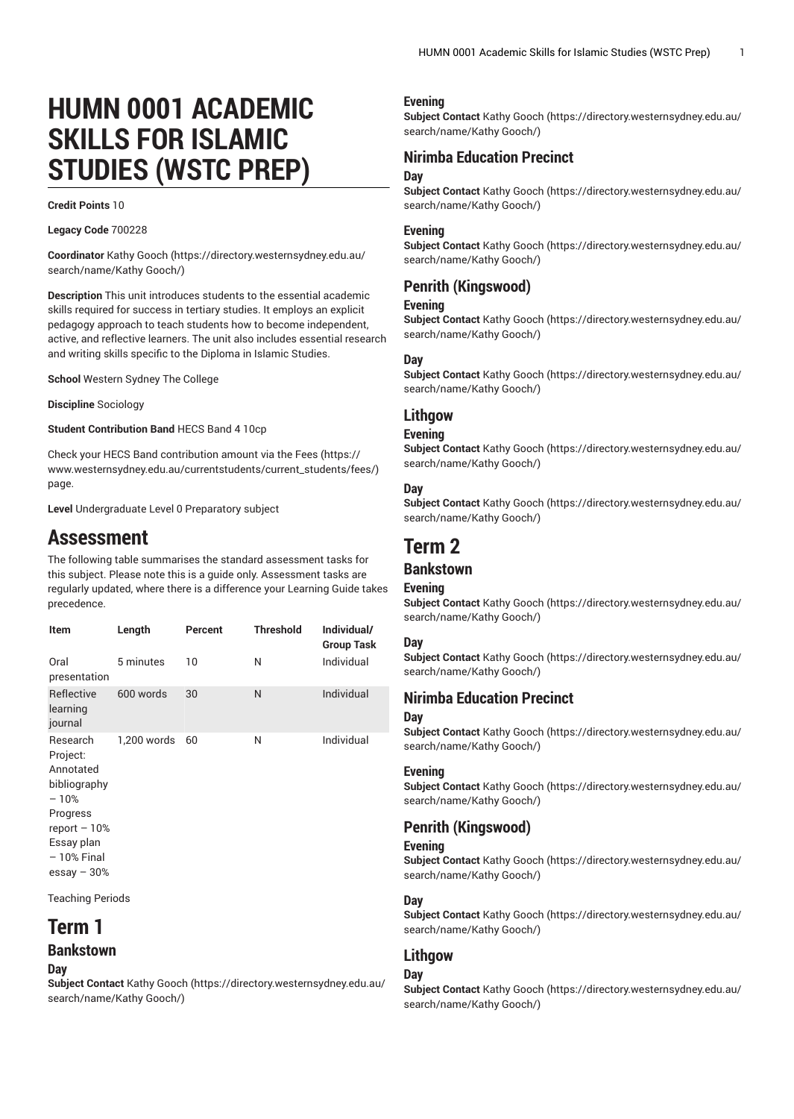# **HUMN 0001 ACADEMIC SKILLS FOR ISLAMIC STUDIES (WSTC PREP)**

#### **Credit Points** 10

**Legacy Code** 700228

**Coordinator** [Kathy Gooch \(https://directory.westernsydney.edu.au/](https://directory.westernsydney.edu.au/search/name/Kathy Gooch/) [search/name/Kathy](https://directory.westernsydney.edu.au/search/name/Kathy Gooch/) Gooch/)

**Description** This unit introduces students to the essential academic skills required for success in tertiary studies. It employs an explicit pedagogy approach to teach students how to become independent, active, and reflective learners. The unit also includes essential research and writing skills specific to the Diploma in Islamic Studies.

**School** Western Sydney The College

**Discipline** Sociology

**Student Contribution Band** HECS Band 4 10cp

Check your HECS Band contribution amount via the [Fees \(https://](https://www.westernsydney.edu.au/currentstudents/current_students/fees/) [www.westernsydney.edu.au/currentstudents/current\\_students/fees/\)](https://www.westernsydney.edu.au/currentstudents/current_students/fees/) page.

**Level** Undergraduate Level 0 Preparatory subject

## **Assessment**

The following table summarises the standard assessment tasks for this subject. Please note this is a guide only. Assessment tasks are regularly updated, where there is a difference your Learning Guide takes precedence.

| Item                                                                                                                   | Length      | Percent | <b>Threshold</b> | Individual/<br><b>Group Task</b> |
|------------------------------------------------------------------------------------------------------------------------|-------------|---------|------------------|----------------------------------|
| Oral<br>presentation                                                                                                   | 5 minutes   | 10      | Ν                | Individual                       |
| Reflective<br>learning<br>journal                                                                                      | 600 words   | 30      | N                | Individual                       |
| Research<br>Project:<br>Annotated<br>bibliography<br>$-10%$<br>Progress<br>report $-10%$<br>Essay plan<br>$-10%$ Final | 1,200 words | 60      | N                | Individual                       |

essay – 30%

Teaching Periods

# **Term 1**

## **Bankstown**

**Day**

**Subject Contact** [Kathy Gooch \(https://directory.westernsydney.edu.au/](https://directory.westernsydney.edu.au/search/name/Kathy Gooch/) [search/name/Kathy](https://directory.westernsydney.edu.au/search/name/Kathy Gooch/) Gooch/)

#### **Evening**

**Subject Contact** [Kathy Gooch \(https://directory.westernsydney.edu.au/](https://directory.westernsydney.edu.au/search/name/Kathy Gooch/) [search/name/Kathy](https://directory.westernsydney.edu.au/search/name/Kathy Gooch/) Gooch/)

## **Nirimba Education Precinct Day**

**Subject Contact** [Kathy Gooch \(https://directory.westernsydney.edu.au/](https://directory.westernsydney.edu.au/search/name/Kathy Gooch/) [search/name/Kathy](https://directory.westernsydney.edu.au/search/name/Kathy Gooch/) Gooch/)

#### **Evening**

**Subject Contact** [Kathy Gooch \(https://directory.westernsydney.edu.au/](https://directory.westernsydney.edu.au/search/name/Kathy Gooch/) [search/name/Kathy](https://directory.westernsydney.edu.au/search/name/Kathy Gooch/) Gooch/)

## **Penrith (Kingswood)**

#### **Evening**

**Subject Contact** [Kathy Gooch \(https://directory.westernsydney.edu.au/](https://directory.westernsydney.edu.au/search/name/Kathy Gooch/) [search/name/Kathy](https://directory.westernsydney.edu.au/search/name/Kathy Gooch/) Gooch/)

## **Day**

**Subject Contact** [Kathy Gooch \(https://directory.westernsydney.edu.au/](https://directory.westernsydney.edu.au/search/name/Kathy Gooch/) [search/name/Kathy](https://directory.westernsydney.edu.au/search/name/Kathy Gooch/) Gooch/)

## **Lithgow**

#### **Evening**

**Subject Contact** [Kathy Gooch \(https://directory.westernsydney.edu.au/](https://directory.westernsydney.edu.au/search/name/Kathy Gooch/) [search/name/Kathy](https://directory.westernsydney.edu.au/search/name/Kathy Gooch/) Gooch/)

#### **Day**

**Subject Contact** [Kathy Gooch \(https://directory.westernsydney.edu.au/](https://directory.westernsydney.edu.au/search/name/Kathy Gooch/) [search/name/Kathy](https://directory.westernsydney.edu.au/search/name/Kathy Gooch/) Gooch/)

# **Term 2**

## **Bankstown**

#### **Evening**

**Subject Contact** [Kathy Gooch \(https://directory.westernsydney.edu.au/](https://directory.westernsydney.edu.au/search/name/Kathy Gooch/) [search/name/Kathy](https://directory.westernsydney.edu.au/search/name/Kathy Gooch/) Gooch/)

## **Day**

**Subject Contact** [Kathy Gooch \(https://directory.westernsydney.edu.au/](https://directory.westernsydney.edu.au/search/name/Kathy Gooch/) [search/name/Kathy](https://directory.westernsydney.edu.au/search/name/Kathy Gooch/) Gooch/)

## **Nirimba Education Precinct**

#### **Day**

**Subject Contact** [Kathy Gooch \(https://directory.westernsydney.edu.au/](https://directory.westernsydney.edu.au/search/name/Kathy Gooch/) [search/name/Kathy](https://directory.westernsydney.edu.au/search/name/Kathy Gooch/) Gooch/)

## **Evening**

**Subject Contact** [Kathy Gooch \(https://directory.westernsydney.edu.au/](https://directory.westernsydney.edu.au/search/name/Kathy Gooch/) [search/name/Kathy](https://directory.westernsydney.edu.au/search/name/Kathy Gooch/) Gooch/)

## **Penrith (Kingswood)**

#### **Evening**

**Subject Contact** [Kathy Gooch \(https://directory.westernsydney.edu.au/](https://directory.westernsydney.edu.au/search/name/Kathy Gooch/) [search/name/Kathy](https://directory.westernsydney.edu.au/search/name/Kathy Gooch/) Gooch/)

## **Day**

**Subject Contact** [Kathy Gooch \(https://directory.westernsydney.edu.au/](https://directory.westernsydney.edu.au/search/name/Kathy Gooch/) [search/name/Kathy](https://directory.westernsydney.edu.au/search/name/Kathy Gooch/) Gooch/)

## **Lithgow**

#### **Day**

**Subject Contact** [Kathy Gooch \(https://directory.westernsydney.edu.au/](https://directory.westernsydney.edu.au/search/name/Kathy Gooch/) [search/name/Kathy](https://directory.westernsydney.edu.au/search/name/Kathy Gooch/) Gooch/)